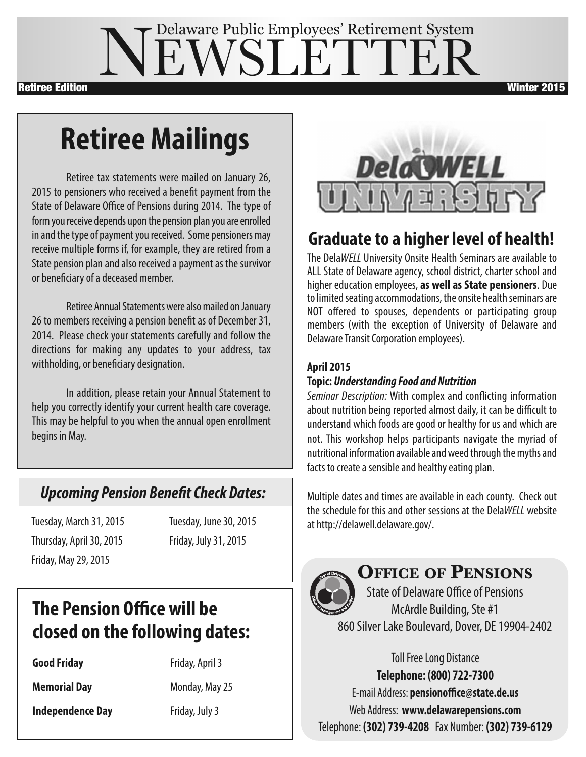## EWSLETTE Delaware Public Employees' Retirement System **Retiree Edition Winter 2015**

# **RetireeMailings**

Retiree tax statements were mailed on January 26, 2015 to pensioners who received a benefit payment from the State of Delaware Office of Pensions during 2014. The type of form you receive depends upon the pension plan you are enrolled in and the type of payment you received. Some pensioners may receive multiple forms if, for example, they are retired from a State pension plan and also received a payment as the survivor or beneficiary of a deceased member.

Retiree Annual Statements were also mailed on January 26 to members receiving a pension benefit as of December 31, 2014. Please check your statements carefully and follow the directions for making any updates to your address, tax withholding, or beneficiary designation.

In addition, please retain your Annual Statement to help you correctly identify your current health care coverage. This may be helpful to you when the annual open enrollment begins in May.

### *Upcoming Pension Benefit Check Dates:*

Tuesday, March 31,2015 Tuesday, June30,2015 Thursday, April30,2015 Friday, July31,2015 Friday, May29,2015

### **The Pension Office will be closed on the following dates:**

**Good Friday** Friday, April 3

**Memorial Day** Monday, May 25

**Independence Day** Friday, July 3



## **Graduate to a higher level of health!**

The Dela*WELL* University Onsite Health Seminars are available to ALL State of Delaware agency, school district, charter school and higher education employees, **as well asState pensioners**. Due to limited seating accommodations, the onsite health seminars are NOT offered to spouses, dependents or participating group members (with the exception of University of Delaware and Delaware Transit Corporation employees).

#### **April 2015**

#### **Topic:** *Understanding Food and Nutrition*

*Seminar Description:* With complex and conflicting information about nutrition being reported almost daily, it can be difficult to understand which foods are good or healthy for us and which are not. This workshop helps participants navigate the myriad of nutritional information available and weed through the myths and facts to create a sensible and healthy eating plan.

Multiple dates and times are available in each county. Check out the schedule for this and other sessions at the DelaWELL website at http://delawell.delaware.gov/.



### **Office Of PensiOns**

State of Delaware Office of Pensions McArdle Building, Ste #1 860 Silver Lake Boulevard, Dover, DE 19904-2402

> **Toll Free Long Distance Telephone: (800) 722-7300**

E-mail Address: **pensionoffice@state.de.us** Web Address: **www.delawarepensions.com** Telephone: **(302) 739-4208** Fax Number: **(302) 739-6129**